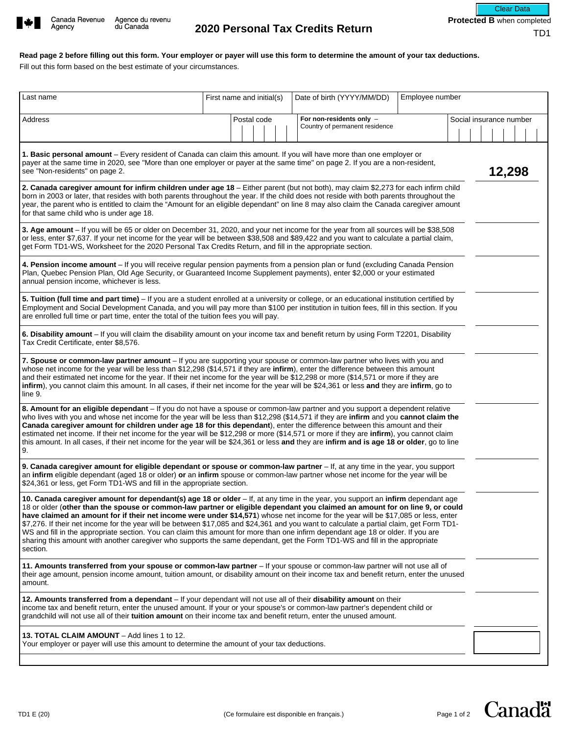

**Read page 2 before filling out this form. Your employer or payer will use this form to determine the amount of your tax deductions.** 

Fill out this form based on the best estimate of your circumstances.

| Last name                                                                                                                                                                                                                                                                                                                                                                                                                                                                                                                                                                                                                                                                                                                                                                                                                       | First name and initial(s) | Date of birth (YYYY/MM/DD)                                 | Employee number         |  |
|---------------------------------------------------------------------------------------------------------------------------------------------------------------------------------------------------------------------------------------------------------------------------------------------------------------------------------------------------------------------------------------------------------------------------------------------------------------------------------------------------------------------------------------------------------------------------------------------------------------------------------------------------------------------------------------------------------------------------------------------------------------------------------------------------------------------------------|---------------------------|------------------------------------------------------------|-------------------------|--|
| Address                                                                                                                                                                                                                                                                                                                                                                                                                                                                                                                                                                                                                                                                                                                                                                                                                         | Postal code               | For non-residents only -<br>Country of permanent residence | Social insurance number |  |
| 1. Basic personal amount – Every resident of Canada can claim this amount. If you will have more than one employer or<br>payer at the same time in 2020, see "More than one employer or payer at the same time" on page 2. If you are a non-resident,<br>see "Non-residents" on page 2.                                                                                                                                                                                                                                                                                                                                                                                                                                                                                                                                         |                           |                                                            | 12,298                  |  |
| 2. Canada caregiver amount for infirm children under age 18 - Either parent (but not both), may claim \$2,273 for each infirm child<br>born in 2003 or later, that resides with both parents throughout the year. If the child does not reside with both parents throughout the<br>year, the parent who is entitled to claim the "Amount for an eligible dependant" on line 8 may also claim the Canada caregiver amount<br>for that same child who is under age 18.                                                                                                                                                                                                                                                                                                                                                            |                           |                                                            |                         |  |
| 3. Age amount - If you will be 65 or older on December 31, 2020, and your net income for the year from all sources will be \$38,508<br>or less, enter \$7,637. If your net income for the year will be between \$38,508 and \$89,422 and you want to calculate a partial claim,<br>get Form TD1-WS, Worksheet for the 2020 Personal Tax Credits Return, and fill in the appropriate section.                                                                                                                                                                                                                                                                                                                                                                                                                                    |                           |                                                            |                         |  |
| 4. Pension income amount - If you will receive regular pension payments from a pension plan or fund (excluding Canada Pension<br>Plan, Quebec Pension Plan, Old Age Security, or Guaranteed Income Supplement payments), enter \$2,000 or your estimated<br>annual pension income, whichever is less.                                                                                                                                                                                                                                                                                                                                                                                                                                                                                                                           |                           |                                                            |                         |  |
| 5. Tuition (full time and part time) - If you are a student enrolled at a university or college, or an educational institution certified by<br>Employment and Social Development Canada, and you will pay more than \$100 per institution in tuition fees, fill in this section. If you<br>are enrolled full time or part time, enter the total of the tuition fees you will pay.                                                                                                                                                                                                                                                                                                                                                                                                                                               |                           |                                                            |                         |  |
| 6. Disability amount - If you will claim the disability amount on your income tax and benefit return by using Form T2201, Disability<br>Tax Credit Certificate, enter \$8,576.                                                                                                                                                                                                                                                                                                                                                                                                                                                                                                                                                                                                                                                  |                           |                                                            |                         |  |
| 7. Spouse or common-law partner amount - If you are supporting your spouse or common-law partner who lives with you and<br>whose net income for the year will be less than \$12,298 (\$14,571 if they are infirm), enter the difference between this amount<br>and their estimated net income for the year. If their net income for the year will be \$12,298 or more (\$14,571 or more if they are<br>infirm), you cannot claim this amount. In all cases, if their net income for the year will be \$24,361 or less and they are infirm, go to<br>line 9.                                                                                                                                                                                                                                                                     |                           |                                                            |                         |  |
| 8. Amount for an eligible dependant - If you do not have a spouse or common-law partner and you support a dependent relative<br>who lives with you and whose net income for the year will be less than \$12,298 (\$14,571 if they are infirm and you cannot claim the<br>Canada caregiver amount for children under age 18 for this dependant), enter the difference between this amount and their<br>estimated net income. If their net income for the year will be \$12,298 or more (\$14,571 or more if they are infirm), you cannot claim<br>this amount. In all cases, if their net income for the year will be \$24,361 or less and they are infirm and is age 18 or older, go to line<br>9.                                                                                                                              |                           |                                                            |                         |  |
| 9. Canada caregiver amount for eligible dependant or spouse or common-law partner - If, at any time in the year, you support<br>an infirm eligible dependant (aged 18 or older) or an infirm spouse or common-law partner whose net income for the year will be<br>\$24,361 or less, get Form TD1-WS and fill in the appropriate section.                                                                                                                                                                                                                                                                                                                                                                                                                                                                                       |                           |                                                            |                         |  |
| 10. Canada caregiver amount for dependant(s) age 18 or older - If, at any time in the year, you support an infirm dependant age<br>18 or older (other than the spouse or common-law partner or eligible dependant you claimed an amount for on line 9, or could<br>have claimed an amount for if their net income were under \$14,571) whose net income for the year will be \$17,085 or less, enter<br>\$7,276. If their net income for the year will be between \$17,085 and \$24,361 and you want to calculate a partial claim, get Form TD1-<br>WS and fill in the appropriate section. You can claim this amount for more than one infirm dependant age 18 or older. If you are<br>sharing this amount with another caregiver who supports the same dependant, get the Form TD1-WS and fill in the appropriate<br>section. |                           |                                                            |                         |  |
| 11. Amounts transferred from your spouse or common-law partner - If your spouse or common-law partner will not use all of<br>their age amount, pension income amount, tuition amount, or disability amount on their income tax and benefit return, enter the unused<br>amount.                                                                                                                                                                                                                                                                                                                                                                                                                                                                                                                                                  |                           |                                                            |                         |  |
| 12. Amounts transferred from a dependant - If your dependant will not use all of their disability amount on their<br>income tax and benefit return, enter the unused amount. If your or your spouse's or common-law partner's dependent child or<br>grandchild will not use all of their tuition amount on their income tax and benefit return, enter the unused amount.                                                                                                                                                                                                                                                                                                                                                                                                                                                        |                           |                                                            |                         |  |
| 13. TOTAL CLAIM AMOUNT - Add lines 1 to 12.<br>Your employer or payer will use this amount to determine the amount of your tax deductions.                                                                                                                                                                                                                                                                                                                                                                                                                                                                                                                                                                                                                                                                                      |                           |                                                            |                         |  |